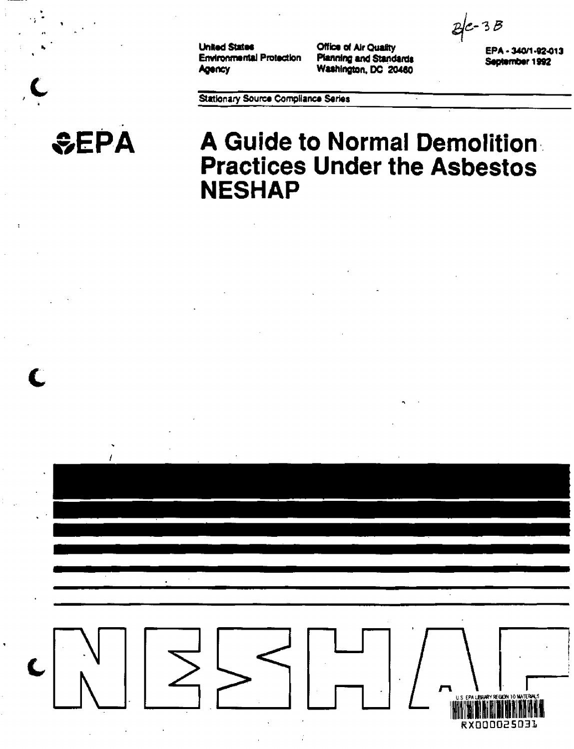**United States Environmental Protection** Agency

Office of Air Quality **Planning and Standards** Washington, DC 20460

EPA - 340/1-92-013 September 1992

**RX000025031** 

 $2e-3B$ 

**Stationary Source Compliance Series** 

**SEPA** 

# A Guide to Normal Demolition **Practices Under the Asbestos NESHAP**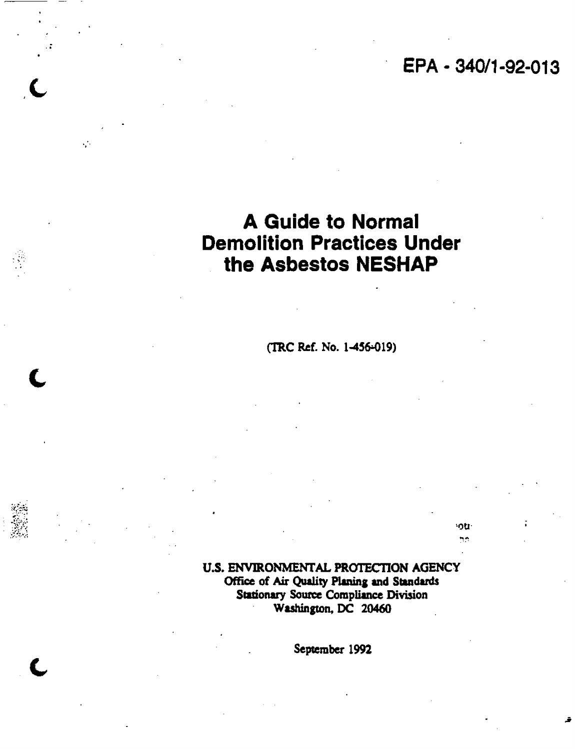ou ۵ñ

# **A Guide to Normal Demolition Practices Under** the Asbestos NESHAP

ψ,

(TRC Ref. No. 1-456-019)

U.S. ENVIRONMENTAL PROTECTION AGENCY Office of Air Quality Planing and Standards Stationary Source Compliance Division Washington, DC 20460

September 1992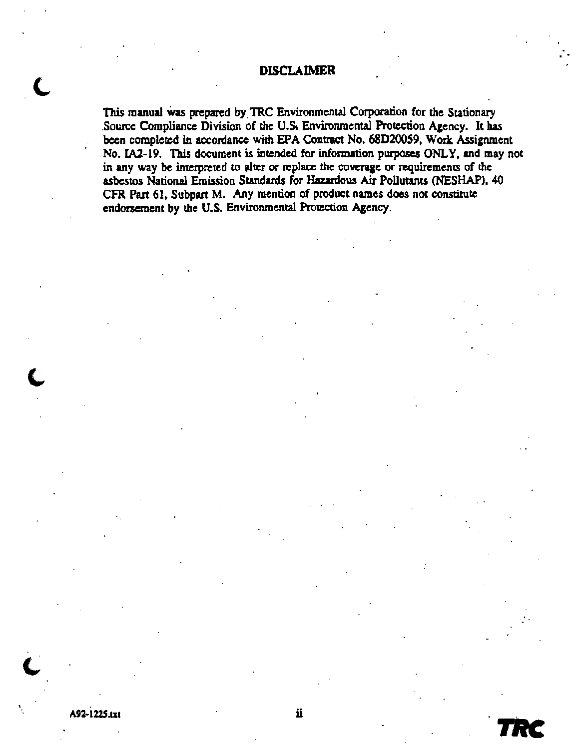### **DISCLAIMER**

This manual was prepared by TRC Environmental Corporation for the Stationary Source Compliance Division of the U.S. Environmental Protection Agency. It has been completed in accordance with EPA Contract No. 68D20059, Work Assignment No. IA2-19. This document is intended for information purposes ONLY, and may not in any way be interpreted to alter or replace the coverage or requirements of the asbestos National Emission Standards for Hazardous Air Pollutants (NESHAP), 40 CFR Part 61, Subpart M. Any mention of product names does not constitute endorsement by the U.S. Environmental Protection Agency.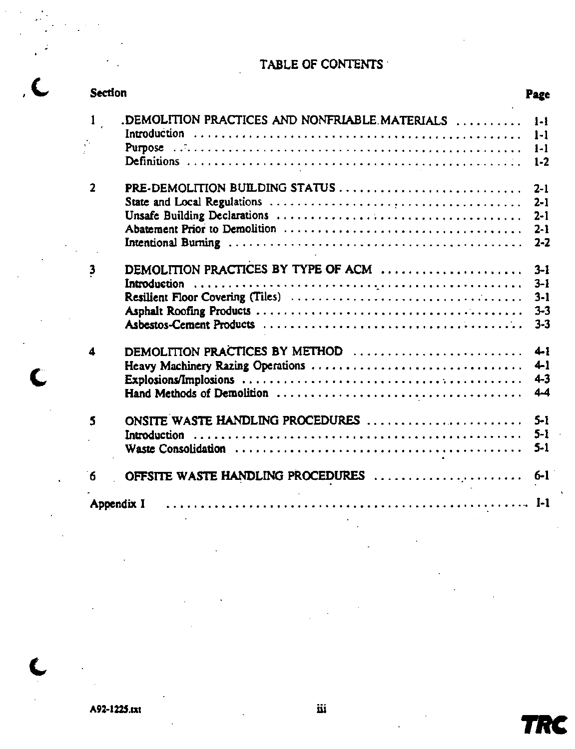## TABLE OF CONTENTS

|              | Section                                          | rage                                                |
|--------------|--------------------------------------------------|-----------------------------------------------------|
| $\mathbf{1}$ | DEMOLITION PRACTICES AND NONFRIABLE MATERIALS    | $1 - 1$<br>$1-1$<br>$1-1$<br>$1 - 2$                |
| $\mathbf{2}$ | PRE-DEMOLITION BUILDING STATUS                   | $2 - 1$<br>$2 - 1$<br>$2 - 1$<br>$2 - 1$<br>$2 - 2$ |
| 3            | DEMOLITION PRACTICES BY TYPE OF ACM              | $3 - 1$<br>$3 - 1$<br>$3 - 1$<br>$3 - 3$<br>$3 - 3$ |
| 4            | DEMOLITION PRACTICES BY METHOD                   | $4 - 1$<br>$4 - 1$<br>$4-3$<br>$4-4$                |
| 5            | ONSITE WASTE HANDLING PROCEDURES<br>Introduction | $5-1$<br>$5 - 1$<br>$5 - 1$                         |
| 6            | OFFSITE WASTE HANDLING PROCEDURES                | $6 - 1$                                             |
|              | Appendix I                                       |                                                     |

 $\mathbb{R}^2$ 

 $\epsilon$ 

Ċ

iü

Е

T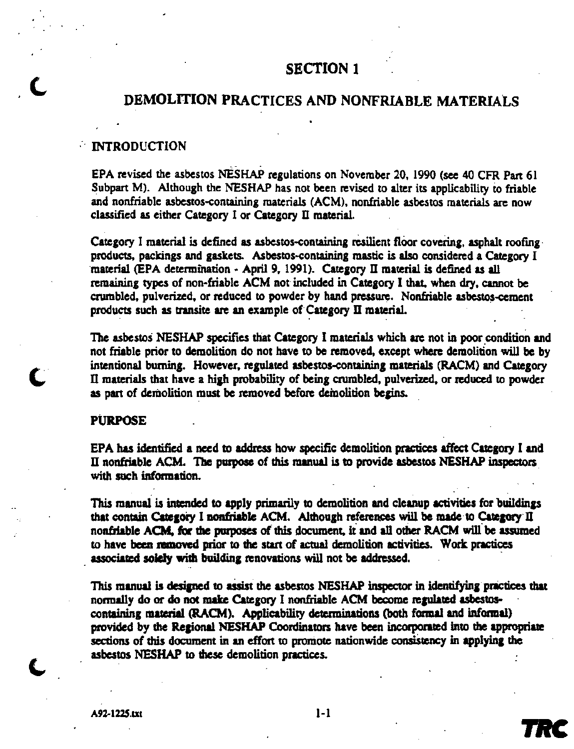## SECTION 1

## DEMOLITION PRACTICES AND NONFRIABLE MATERIALS

#### INTRODUCTION

EPA revised the asbestos NESHAP regulations on November 20, 1990 (see 40 CFR Part 61) Subpart M). Although the NESHAP has not been revised to alter its applicability to friable and nonfriable asbestos-containing materials (ACM), nonfriable asbestos materials are now classified as either Category I or Category D material.

Category I material is defined as asbestos-containing resilient floor covering, asphalt roofingproducts, packings and gaskets. Asbestos-containing mastic is also considered a Category I ·material (EPA determination - April 9. 1991). Category D material is defined as all remaining types of non-friable ACM not included in Category I that. when dry. cannot be crumbled, pulverized, or reduced to powder by hand pressure. Nonfriable asbestos-cement products such as transite are an example of Category  $\Pi$  material.

The asbestos NESHAP specifies that Category I materials which are not in poor condition and not friable prior to demolition do not have to be removed, except where demolition will be by intentional burning. However, regulated asbestos-containing materials (RACM) and Category II materials that have a high probability of being crumbled, pulverized, or reduced to powder as part of demolition must be removed before demolition begins.

#### PURPOSE

EPA has identified a need to addtess how specific demolition practices affect Category I and II nonfriable ACM. The purpose of this manual is to provide asbestos NESHAP inspectors. with such information.

This manual is intended to apply primarily to demolition and cleanup activities for buildings that contain Category I nonfriable ACM. Although references will be made to Category II nonfriable ACM, for the purposes of this document, it and all other RACM will be assumed that contain Category I nonfriable ACM. Although references will be made to Catego<br>nonfriable ACM, for the purposes of this document, it and all other RACM will be ass<br>to have been removed prior to the start of actual demo associated solely with building renovations will not be addressed.

This manual is designed to assist the asbestos NESHAP inspector in identifying practices that normally do or do not make Category I nonfriable ACM become regulated asbestoscontaining material (RACM). Applicability determinations (both formal and informal) provided by the Regional NESHAP Coordinators have been incorporated into the appropriate sections of this document in an effort to promote nationwide consistency in applying the asbestos NESHAP to these demolition practices.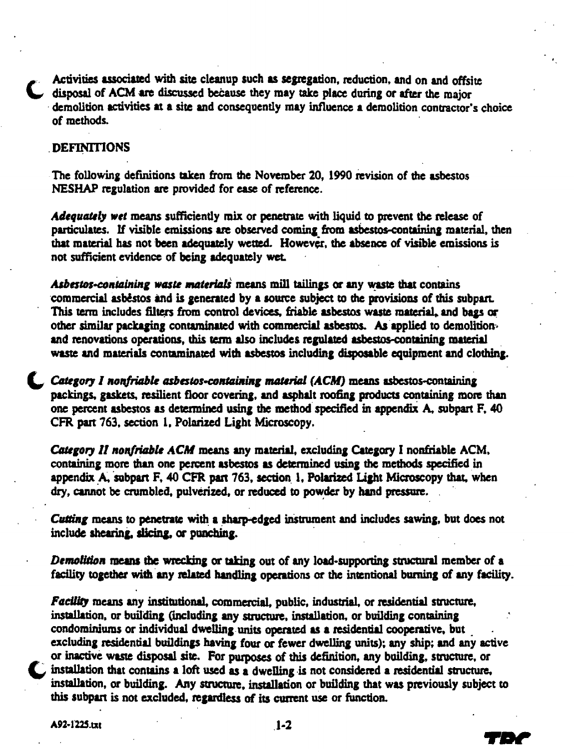Activities associated with site cleanup such as segregation, reduction, and on and offsite disposal of ACM are discussed because they may take place during or after the major demolition activities at a site and consequently may influence a demolition contractor's choice of methods.

#### **DEFINITIONS**

The following definitions taken from the November 20, 1990 revision of the asbestos NESHAP regulation are provided for ease of reference.

Adequately wet means sufficiently mix or penetrate with liquid to prevent the release of particulates. If visible emissions are observed coming from asbestos-containing material, then that material has not been adequately wetted. However, the absence of visible emissions is not sufficient evidence of being adequately wet.

Asbestos-containing waste materials means mill tailings or any waste that contains commercial asbestos and is generated by a source subject to the provisions of this subpart. This term includes filters from control devices, friable asbestos waste material, and bags or other similar packaging contaminated with commercial asbestos. As applied to demolitionand renovations operations, this term also includes regulated asbestos-containing material waste and materials contaminated with asbestos including disposable equipment and clothing.

 $\Box$  Category I nonfriable asbestos-containing material (ACM) means asbestos-containing packings, gaskets, resilient floor covering, and asphalt roofing products containing more than one percent asbestos as determined using the method specified in appendix A, subpart F, 40 CFR part 763, section 1, Polarized Light Microscopy.

Category II nonfriable ACM means any material, excluding Category I nonfriable ACM, containing more than one percent asbestos as determined using the methods specified in appendix A, subpart F, 40 CFR part 763, section 1, Polarized Light Microscopy that, when dry, cannot be crumbled, pulverized, or reduced to powder by hand pressure.

Cutting means to penetrate with a sharp-edged instrument and includes sawing, but does not include shearing, slicing, or punching.

Demolition means the wrecking or taking out of any load-supporting structural member of a facility together with any related handling operations or the intentional burning of any facility.

Facility means any institutional, commercial, public, industrial, or residential structure, installation, or building (including any structure, installation, or building containing condominiums or individual dwelling units operated as a residential cooperative, but excluding residential buildings having four or fewer dwelling units); any ship; and any active or inactive waste disposal site. For purposes of this definition, any building, structure, or installation that contains a loft used as a dwelling is not considered a residential structure, installation, or building. Any structure, installation or building that was previously subject to this subpart is not excluded, regardless of its current use or function.

, 73,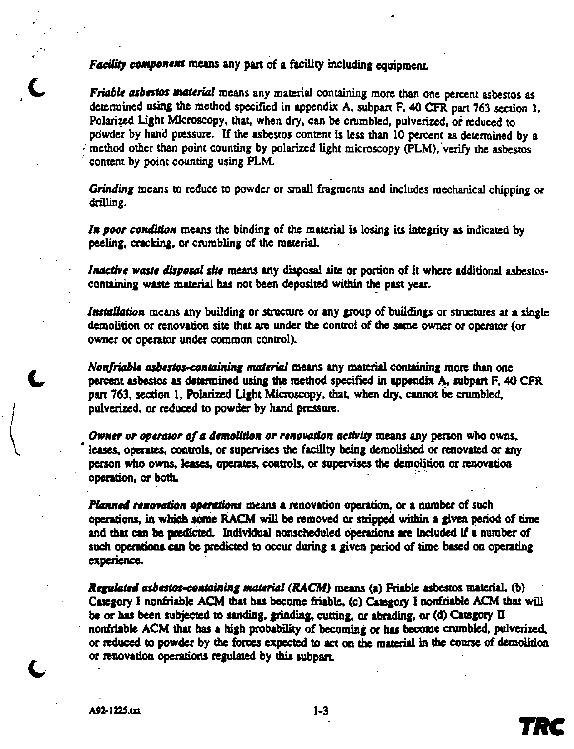Facility component means any part of a facility including equipment.

Friable asbestos material means any material containing more than one percent asbestos as determined using the method specified in appendix A. subpart F. 40 CFR part 763 section 1. Polarized Light Microscopy, that, when dry, can be crumbled, pulverized, or reduced to powder by hand pressure. If the asbestos content is less than 10 percent as determined by a ; method other than point counting by polarized light microscopy (PLM). 'verify the asbestos content by point counting using PLM.

•

*Grinding* means to reduce to powder or small fragments and includes mechanical chipping or drilling.

In poor condition means the binding of the material is losing its integrity as indicated by peeling, cracking, or crumbling of the material.

*Inactive waste disposal site* means any disposal site or portion of it where additional asbestoscontaining waste material has not been deposited within the past year.

*Installation* means any building or structure or any group of buildings or structures at a single demolition or renovation site that are under the control of the same owner or operator (or owner or operator under common control).

Nonfriable asbestos-containing material means any material containing more than one percent asbestos as determined using the method specified in appendix A. subpan F. 40 CFR pan 763. section I. Polarized Light MiCroscopy. that. when dry. cannot be crombled. pulverized. or reduced to powder by hand pressure. '

Owner or operator of a demolition or renovation activity means any person who owns, leases, operates, controls, or supervises the facility being demolished or renovated or any person who owns, leases, operates, controls, or supervises the demolition or renovation operation, or both.

**Planned renovation operations** means a renovation operation, or a number of such operations, in which some RACM will be removed or stripped within a given period of time and that can be predicted. Individual nonscheduled operations are included if a number of such operations can be predicted to occur during a given period of time based on operating experience.

*Regulated asbestos-containing material (RACM)* means (a) Friable asbestos material. (b) Category I nonfriable ACM that has become friable. (c) Category I nonfriable ACM that will be or has been subjected to sanding, grinding, cutting, or abrading, or (d) Category  $\Pi$ nonfriable ACM that has a high probability of becoming or has become crumbled, pulverized, or reduced to powder by the forces expected to act on the material in the course of demolition or renovation operations regulated by this subpart.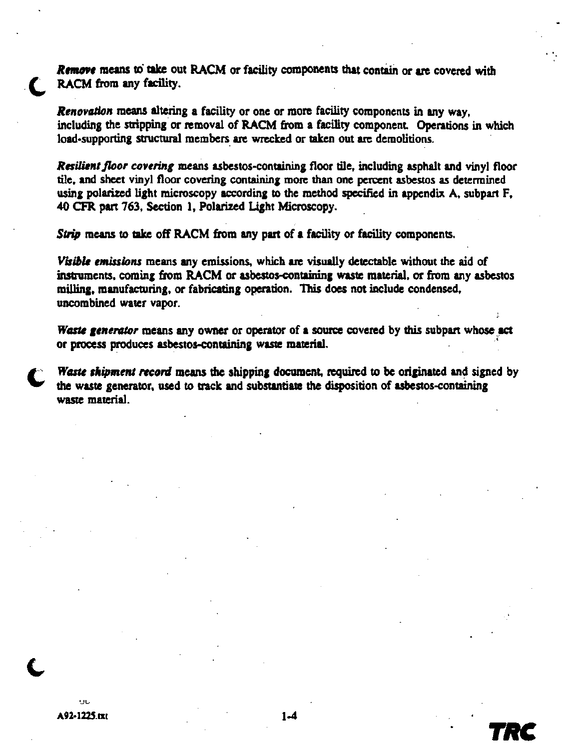*Remove* means to take out RACM or facility components that contain or are covered with Remove means to take or<br>RACM from any facility.

, ,

*TRC*

Renovation means altering a facility or one or more facility components in any way. including the stripping or removal of RACM from a facility component Operations in which load-supporting structural members are wrecked or taken out are demolitions.

Resilient floor covering means asbestos-containing floor tile, including asphalt and vinyl floor tile. and sheet vinyl floor covering containing more than one percent asbestos as detennined using polarized light microscopy according to the method specified in appendix A, subpart F, 40 CFR part 763. Section 1. Polarized Light Microscopy.

Strip means to take off RACM from any part of a facility or facility components.

*Visible emissions* means any emissions, which are visually detectable without the aid of instruments, coming from RACM or asbestos-containing waste material, or from any asbestos milling. manufacturing. or fabricating operation. This does not include condensed. uncombincd water vapor.

Waste generator means any owner or operator of a source covered by this subpart whose act<br>or process produces asbestos-containing waste material.

Waste shipment record means the shipping document, required to be originated and signed by the waste generator, used to track and substantiate the disposition of asbestos-containing waste material.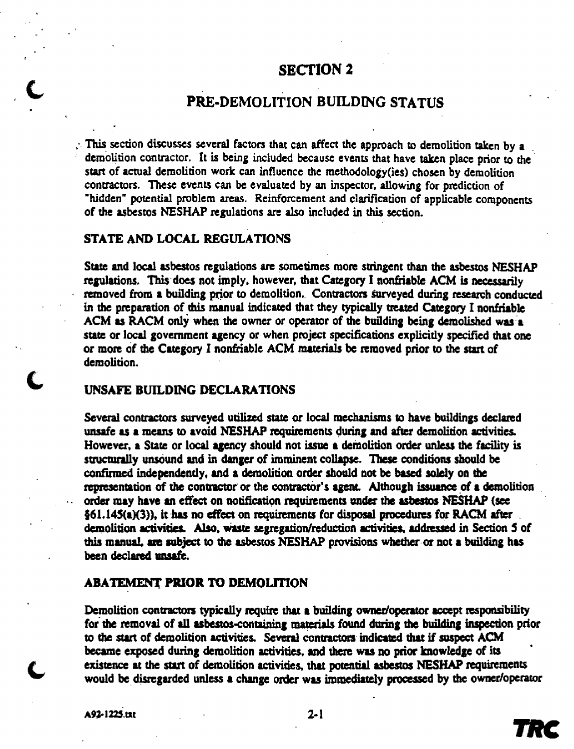## SECTION 2

## PRE-DEMOLITION BUILDING STATUS

 $\therefore$  This section discusses several factors that can affect the approach to demolition taken by a demolition contractor. It is being included because events that have taken place prior to the start of actual demolition work can influence the methodology(ies) chosen by demolition contractors. These events can be evaluated by an inspector, allowing for prediction of -hidden" potential problem areas. Reinforcement and clarification of applicable components of the asbestos NESHAP regulations are also included in this section.

#### STATE AND LOCAL REGULATIONS

State and local asbestos regulations are sometimes more stringent than the asbestos NESHAP regulations. This does not imply, however, that Category I nonfriable ACM is necessarily removed from a building prior to demolition. Contractors surveyed during research conducted in the preparation of this manual indicated that they typically treated Category I nonfriable ACM as RACM only when the owner or operator of the building being demolished was a state or local government agency or when project specifications explicitly specified that one or more of the Category I nonfriable ACM materials be removed prior to the start of demolition.

#### UNSAFE BUILDING'DECLARATIONS

Several contractors surveyed utilized state or local mechanisms to have buildings declared unsafe as a means to avoid NESHAP requirements during and after demolition activities. However, a State or local agency should not issue a demolition order unless the facility is structurally unsound and in danger of imminent collapse. These conditions should be confirmed independently, and a demolition order should not be based solely on Ibe representation of the contractor or the contractor's agent. Although issuance of a demolition order may have an effect on notification requirements under the asbestos NESHAP (see  $61.145(a)(3)$ , it has no effect on requirements for disposal procedures for RACM after . demolition activities. Also, waste segregation/reduction activities, addressed in Section 5 of this manual, are subject to the asbestos NESHAP provisions whether or not a building has been declared unsafe.

#### ABATEMENT PRIOR TO DEMOLITION

Demolition contractors typically require that a building owner/operator accept responsibility for the removal of all asbestos-containing materials found during the building inspection prior to the start of demolition activities. Several contractors indicated that if suspect ACM became exposed during demolition activities, and there was no prior knowledge of its existence at the start of demolition activities, that potential asbestos NESHAP requirements would be disregarded unless a change order was immediately processed by the owner/operator

me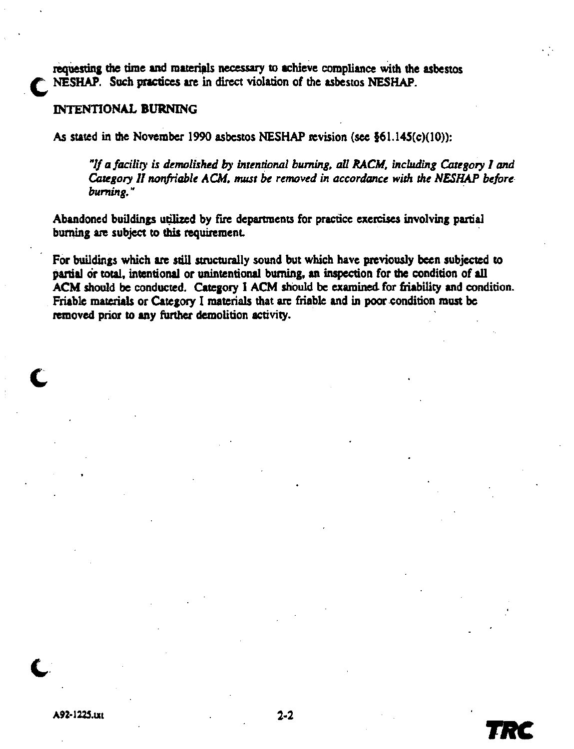requesting the time and materials necessary to achieve compliance with the asbestos NESHAP. Such practices are in direct violation of the asbestos NESHAP.

#### **INTENTIONAL BURNING**

As stated in the November 1990 asbestos NESHAP revision (see §61.145(c)(10)):

"If a facility is demolished by intentional burning, all RACM, including Category I and Category II nonfriable ACM, must be removed in accordance with the NESHAP before burning."

Abandoned buildings utilized by fire departments for practice exercises involving partial burning are subject to this requirement.

For buildings which are still structurally sound but which have previously been subjected to partial or total, intentional or unintentional burning, an inspection for the condition of all ACM should be conducted. Category I ACM should be examined for friability and condition. Friable materials or Category I materials that are friable and in poor condition must be removed prior to any further demolition activity.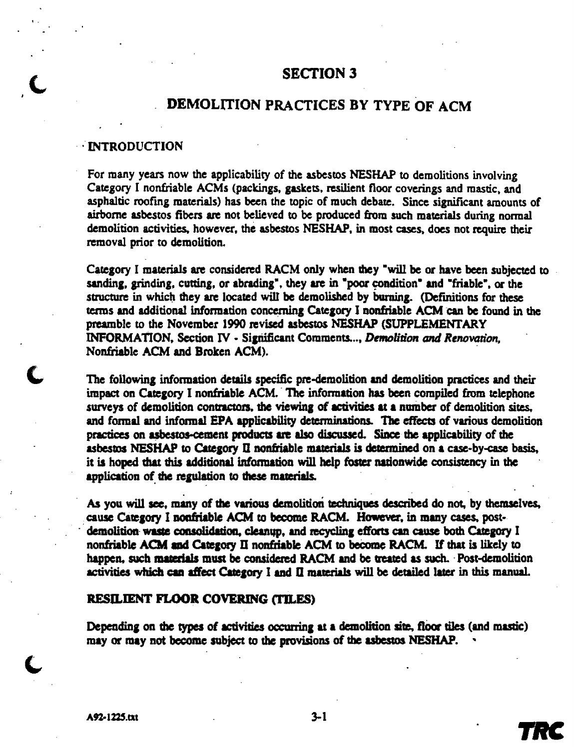## SECTION 3

## DEMOLITION PRACTICES BY TYPE OF ACM

#### INTRODUCTION

For many years now the applicability of the asbestos NESHAP to demolitions involving Category [ nonfriable ACMs (packings, gaskets, resilient floor coverings and mastic, and asphaltic rooftng materials) has been the topic of much debate. Since significant amounts of airborne asbestos fibers are not believed to be produced from such materials during normal demolition activities, however, the asbestos NESHAP, in most cases, does not require their removal prior to demolition.

Category I materials are considered RACM only when they "will be or have been subjected to sanding, grinding, cutting, or abrading<sup>+</sup>, they are in "poor condition" and "friable", or the structure in which they are located will be demolished by burning. (Definitions for these terms and additional information concerning Category I nonfriable ACM can be found in the preamble to the November 1990 revised asbestos NESHAP (SUPPLEMENTARY INFORMATION, Section IV - Significant Comments..., Demolition and Renovation, Nonfriable ACM and Broken ACM). .

The following information details specific pre-demolition and demolition practices and their impact on Category I nonfriable ACM. The information has been compiled from telephone surveys of demolition contractors, the viewing of activities at a number of demolition sites, and fonnal and infonnal EPA applicability determinations. The effects of various demolition practices on asbestos-cement products are also discussed. Since the applicability of the asbestos NESHAP to Category II nonfriable materials is determined on a case-by-case basis, it is hoped that this additional information will help foster nationwide consistency in the application of the regulation to these materials.

As you will see, many of the various demolition techniques described do not, by themselves, cause Category I nonfriable ACM to become RACM. However, in many cases, postdemolition waste consolidation, cleanup, and recycling efforts can cause both Category I nonfriable ACM and Category II nonfriable ACM to become RACM. If that is likely to happen, such materials must be considered RACM and be treated as such. .Post-demolition activities which can affect Category I and  $\Pi$  materials will be detailed later in this manual.

#### RESILIENT FLOOR COVERING (TILES)

Depending on the types of activities occurring at a demolition site, floor tiles (and mastic) may or may not become subject to the provisions of the asbestos NESHAP.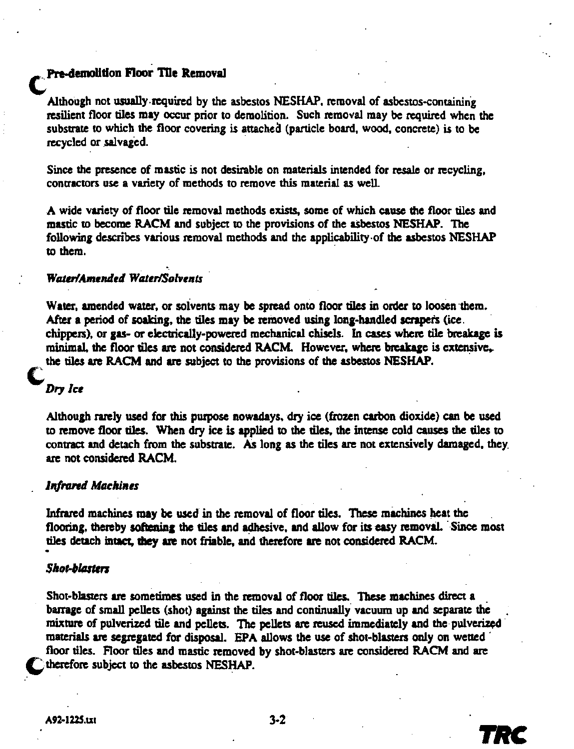### Pre-demolition Floor Tile Removal

Although not usually.required by the asbestos NESHAP, removal of asbestos-containing resilient floor tiles may occur prior to demolition. Such removal may be required when the substrate to which the floor covering is attached (particle board, wood, concrete) is to be recycled or salvaged.

Since the presence of mastic is not desirable on materials intended for resale or recycling, contractors use a variety of methods to remove this material as well.

A wide variety of floor tile removal methods exists, some of which cause the floor tiles and mastic to become RACM and subject to the provisions of the asbestos NESHAP. The following describes various removal methods and the applicability·of the asbestos NESHAP to them. .

### Water/Amended Water/Solvents

Water, amended water, or solvents may be spread onto floor tiles in order to loosen them. After a period of soaking, the tiles may be removed using long-handled scrapers (ice. chippers), or gas- or electrically-powered mechanical chisels. In cases where tile breakage is minimal, the floor tiles are not considered RACM. However, where breakage is extensive,. the tiles are RACM and are subject to the provisions of the asbestos NESHAP. C*Dry Ie. .*

Although rarely used for this purpose nowadays, dry ice (frozen carbon dioxide) can be used to remove floor tiles. When dry ice is applied to the tiles, the intense cold causes the tiles to contract and detach from the substrate. As long as the tiles are not extensively damaged, they. are not considered RACM.

#### **Infrared Machines**

Infrared machines may be used in the removal of floor tiles. These machines heat the flooring, thereby softening the tiles and adhesive, and allow for its easy removal. Since most tiles detach intact, they are not friable, and therefore are not considered RACM.<br>-<br>Shot-blasters

Shot-blasters are sometimes used in the removal of floor tiles. These machines direct a barrage of small pellets (shot) against the tiles and continually· vacuum up and separate the mixture of pulverized tile and pellets. The pellets are reused immediately and the pulverized . materials are segregated for disposal. EPA allows the use of shot-blasters only on wetted floor tiles. Floor tiles and mastic removed by shot-blasters are considered RACM and are therefore subject to the asbestos NESHAP.

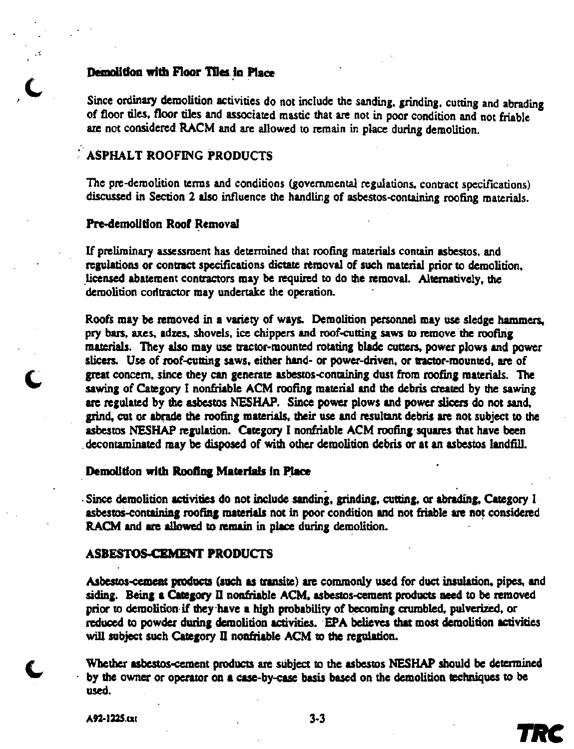#### Demolition with Floor Tiles in Place

Since ordinary demolition activities do not include the sanding, grinding, cutting and abrading of floor tiles, floor tiles and associated mastic that are not in poor condition and not friable are not considered RACM and are allowed to remain in place during demolition.

## **ASPHALT ROOFING PRODUCTS**

The pre-demolition terms and conditions (governmental regulations, contract specifications) discussed in Section 2 also influence the handling of asbestos-containing roofing materials.

#### Pre-demolition Roof Removal

If preliminary assessment has determined that roofing materials contain asbestos, and regulations or contract specifications dictate removal of such material prior to demolition. licensed abatement contractors may be required to do the removal. Alternatively, the demolition contractor may undertake the operation.

Roofs may be removed in a variety of ways. Demolition personnel may use sledge hammers, pry bars, axes, adzes, shovels, ice chippers and roof-cutting saws to remove the roofing materials. They also may use tractor-mounted rotating blade cutters, power plows and power slicers. Use of roof-cutting saws, either hand- or power-driven, or tractor-mounted, are of great concern, since they can generate asbestos-containing dust from roofing materials. The sawing of Category I nonfriable ACM roofing material and the debris created by the sawing are regulated by the asbestos NESHAP. Since power plows and power slicers do not sand, grind, cut or abrade the roofing materials, their use and resultant debris are not subject to the asbestos NESHAP regulation. Category I nonfriable ACM roofing squares that have been decontaminated may be disposed of with other demolition debris or at an asbestos landfill.

#### Demolition with Roofing Materials in Place

Since demolition activities do not include sanding, grinding, cutting, or abrading, Category I asbestos-containing roofing materials not in poor condition and not friable are not considered RACM and are allowed to remain in place during demolition.

#### **ASBESTOS-CEMENT PRODUCTS**

Asbestos-cement products (such as transite) are commonly used for duct insulation, pipes, and siding. Being a Category II nonfriable ACM, asbestos-cement products need to be removed prior to demolition if they have a high probability of becoming crumbled, pulverized, or reduced to powder during demolition activities. EPA believes that most demolition activities will subject such Category II nonfriable ACM to the regulation.

Whether asbestos-cement products are subject to the asbestos NESHAP should be determined by the owner or operator on a case-by-case basis based on the demolition techniques to be used.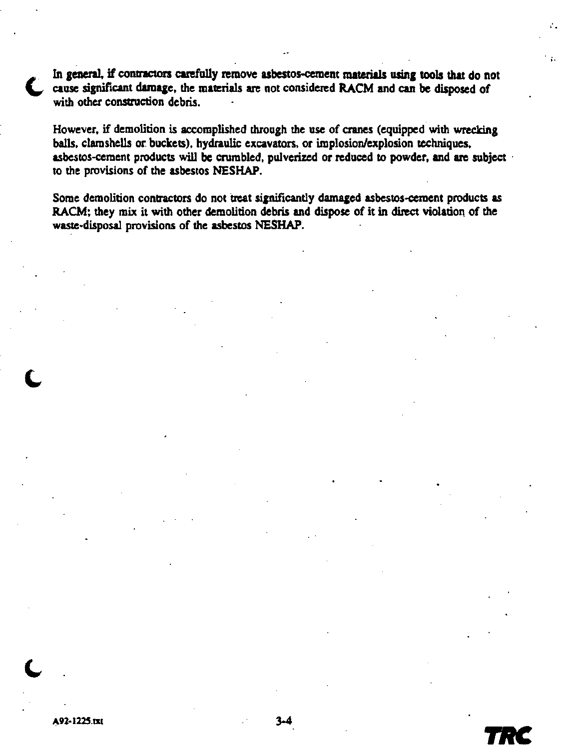In general, if contractors carefully remove asbestos-cement materials using tools that do not cause significant damage, the materials are not considered RACM and can be disposed of with other construction debris.

However, if demolition is accomplished through the use of cranes (equipped with wrecking balls, clamshells or buckets), hydraulic excavators, or implosion/explosion techniques. asbestos-cement products will be crumbled, pulverized or reduced to powder, and are subject to the provisions of the asbestos NESHAP.

Some demolition contractors do not treat significantly damaged asbestos-cement products as RACM; they mix it with other demolition debris and dispose of it in direct violation of the waste-disposal provisions of the asbestos NESHAP.

M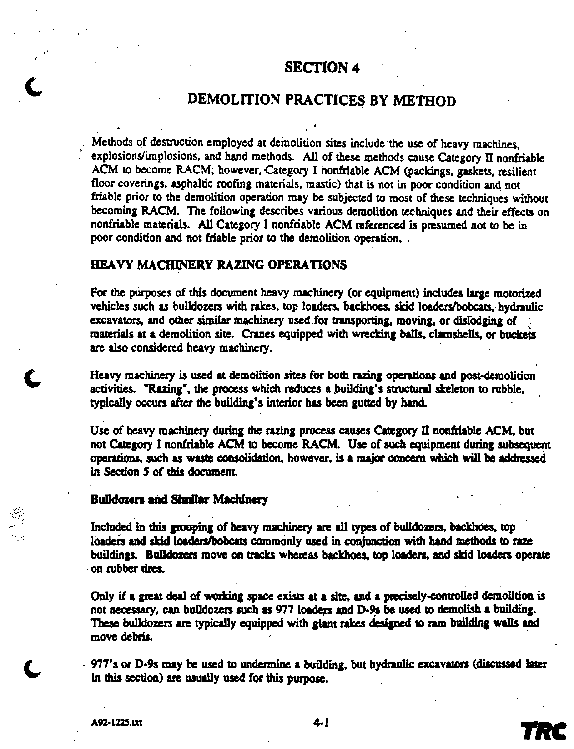## SECTION 4

## DEMOLITION PRACTICES BY METHOD

Methods of destruction employed at demolition sites include the use of heavy machines, explosions/implosions, and hand methods. All of these methods cause Category II nonfriable ACM to become RACM; however, Category I nonfriable ACM (packings, gaskets, resilient floor coverings, asphaltic roofing materials, mastic) that is not in poor condition and not friable prior to the demolition operation may be subjected to most of these techniques without becoming RACM. The following describes various demolition techniques and their effects on nonfriable materials. All Category I nonfriable ACM referenced is presumed not to be in poor condition and not friable prior to the demolition operation. .

#### HEAVY MACHINERY RAZING OPERATIONS

For the purposes of this document heavy machinery (or equipment) includes large motorized vehicles such as bulldozers with rakes, top loaders, backhoes, skid loaders/bobcats, hydraulic excavators, and other similar machinery used for transporting, moving, or disfodging of materials at a demolition site. Cranes equipped with wrecking baIls. clamshells, or buckeis are also considered heavy machinery.

Heavy machinery is used at demolition sites for both razing operations and post-demolition activities. "Razing", the process which reduces a building's structural skeleton to rubble, typically occurs after the building's interior has been gutted by hand.

Use of heavy machinery during the razing process causes Category II nonfriable ACM, but not Calegory I nonfrlable ACM to become RACM. Use of such equipment during subsequent operations, such as waste consolidation, however, is a major concern which will be addressed in Section 5 of this document.

#### Bulldozers and Similar Machinery

Included in this grouping of heavy machinery are all types of bulldozers, backhoes, top loaders and skid loaders/bobcats commonly used in conjunction with hand methods to raze buildings. Bulldozers move on tracks whereas backhoes, top loaders, and skid loaders operate .on rubber tires.

Only if a great deal of working space exists at a site, and a precisely-controlled demolition is not necessary, can bulldozers such as 977 loaders and D-9s be used to demolish a building.<br>These bulldozers are typically equipped with giant rakes designed to ram building walls and move debris.

 $\cdot$  977's or D-9s may be used to undermine a building, but hydraulic excavators (discussed later in this section) are usually used for this purpose.

 $\mathbf{\mathfrak{C}}$ 

.\ '-.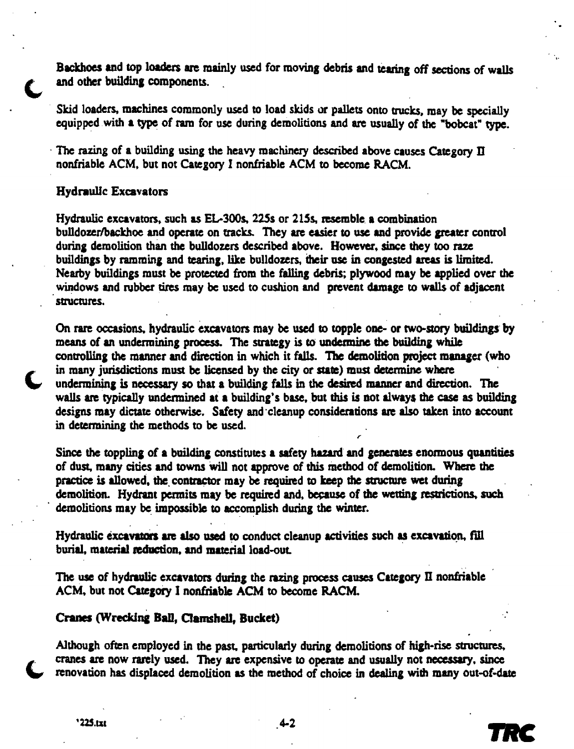Backhoes and top loaders are mainly used for moving debris and tearing off sections of walls and other building components.

Skid loaders, machines commonly used to load skids or pallets onto trucks, may be specially equipped with a type of ram for use during demolitions and are usually of the "bobcat" type.

The razing of a building using the heavy machinery described above causes Category II nonfriable ACM. but not Category I nonfriable ACM to become RACM.

#### Hydraulic Excavators

Hydraulic excavators, such as EL-300s, 225s or 215s, resemble a combination bulldozer/backhoe and operate on tracks. They are easier to use and provide greater control during demolition than the bulldozers described above. However, since they too raze buildings by ramming and tearing, like bulldozers, their use in congested areas is limited. Nearby buildings must be protected from the falling debris; plywood may be applied over the windows and rubber tires may be used to cushion and prevent damage to walls of adjacent structures.

On rare occasions, hydraulic excavators may be used to topple one- or two-story buildings by means of an undermining process. The strategy is to undermine the building while controlling the manner and direction in which it falls. The demolition project manager (who in many jurisdictions must be licensed by the city or state) must determine where undermining is necessary so that a building falls in the desired manner and direction. The walls are typically undermined at a building's base, but this is not always the case as building designs may dictate otherwise. Safety and cleanup considerations are also taken into account in determining the methods to be used.

Since the toppling of a building constitutes a safety hazard and generates enormous quantities of dust, many cities and towns Will not approve of this method of demolition. Where the practice is allowed, the contractor may be required to keep the structure wet during demolition. Hydrant permits may be required and, because of the wetting restrictions, such demolitions may be impossible to accomplish during the winter.

Hydraulic excavators are also used to conduct cleanup activities such as excavation, fill burial, material reduction, and material load-out.

.' The use of hydraulic excavators during the razing process causes Category  $\Pi$  nonfriable ACM, but not Category I nonfriable ACM to become RACM.

#### Cranes (Wrecking Ball, Clamshell, Bucket)

Although often employed in the past, particularly during demolitions of high-rise structures, cranes are now rarely used. They are expensive to operate and usually not necessary, since renovation has displaced demolition as the method of choice in dealing with many out-of-date

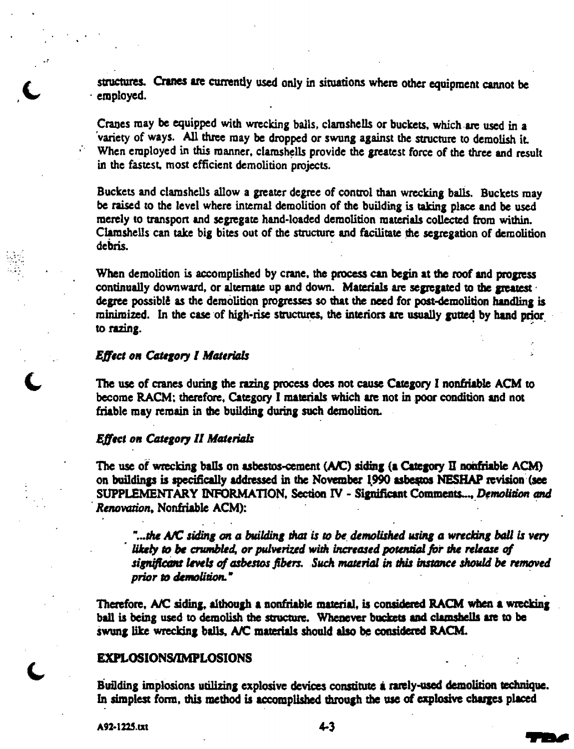structures. Cranes are currently used only in situations where other equipment cannot be employed.

Cranes may be equipped with wrecking balls, clamshells or buckets, which are used in a variety of ways. All three may be dropped or swung against the structure to demolish it. When employed in this manner, clamshells provide the greatest force of the three and result in the fastest, most efficient demolition projects.

Buckets and clamshells allow a greater degree of control than wrecking balls. Buckets may be raised to the level where internal demolition of the building is taking place and be used merely to transport and segregate hand-loaded demolition materials collected from within. Clamshells can take big bites out of the structure and facilitate the segregation of demolition debris.

When demolition is accomplished by crane, the process can begin at the roof and progress continually downward, or alternate up and down. Materials are segregated to the greatest degree possible as the demolition progresses so that the need for post-demolition handling is minimized. In the case of high-rise structures, the interiors are usually gutted by hand prior to razing.

#### **Effect on Category I Materials**

The use of cranes during the razing process does not cause Category I nonfriable ACM to become RACM; therefore, Category I materials which are not in poor condition and not friable may remain in the building during such demolition.

#### **Effect on Category II Materials**

The use of wrecking balls on asbestos-cement (A/C) siding (a Category II nonfriable ACM) on buildings is specifically addressed in the November 1990 asbestos NESHAP revision (see SUPPLEMENTARY INFORMATION, Section IV - Significant Comments..., Demolition and Renovation. Nonfriable ACM):

"...the A/C siding on a building that is to be demolished using a wrecking ball is very likely to be crumbled, or pulverized with increased potential for the release of significant levels of asbestos fibers. Such material in this instance should be removed prior to demolition."

Therefore, A/C siding, although a nonfriable material, is considered RACM when a wrecking ball is being used to demolish the structure. Whenever buckets and clamshells are to be swung like wrecking balls, A/C materials should also be considered RACM.

#### **EXPLOSIONS/IMPLOSIONS**

Building implosions utilizing explosive devices constitute a rarely-used demolition technique. In simplest form, this method is accomplished through the use of explosive charges placed

A92-1225.txt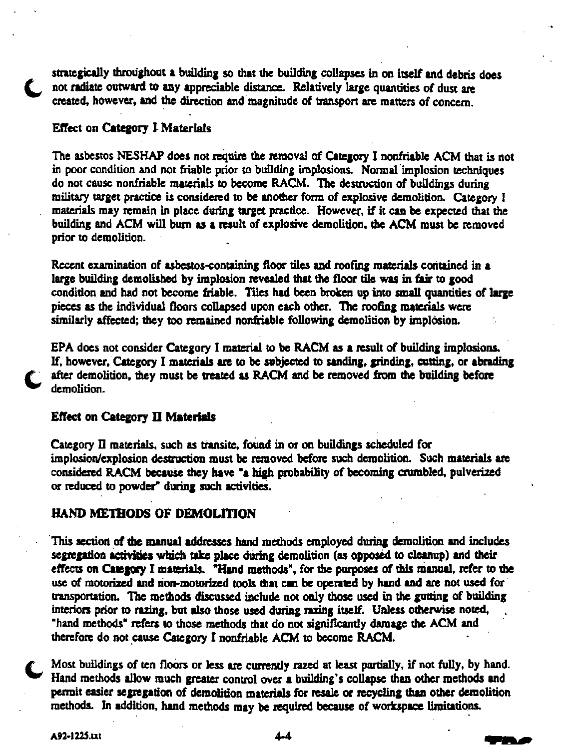strategically throughout a building so that the building collapses in on itself and debris does not radiate outward to any appreciable distance. Relatively large quantities of dust are created, however, and the direction and magnitude of transport are matters of concern.

#### Effect on Category I Materials

The asbestos NESHAP does not require the removal of Category I nonfriable ACM that is not in poor condition and not friable prior to building implosions. Normal implosion techniques do not cause nonfriable materials to become RACM. The destruction of buildings during military target practice is considered to be another form of explosive demolition. Category I materials may remain in place during target practice. However, if it can be expected that the building and ACM will burn as a result of explosive demolition, the ACM must be removed prior to demolition.

Recent examination of asbestos-containing floor tiles and roofing materials contained in a large building demolished by implosion revealed that the floor tile was in fair to good condition and had not become friable. Tiles had been broken up into small quantities of large pieces as the individual floors collapsed upon each other. The roofing materials were similarly affected; they too remained nonfriable following demolition by implosion.

EPA does not consider Category I material to be RACM as a result of building implosions. If, however. Category I materials are to be subjected to sanding, grinding, cutting, or abrading after demolition, they must be treated as RACM and be removed from the building before demolition.

#### Effect on Category II Materials

Category II materials, such as transite, found in or on buildings scheduled for implosion/explosion destruction must be removed before such demolition. Such materials are considered RACM because they have "a high probability of becoming crumbled, pulverized or reduced to powder" during such activities.

#### HAND METHODS OF DEMOLITION

This section of the manual addresses hand methods employed during demolition and includes segregation activities which take place during demolition (as opposed to cleanup) and their effects on Category I materials. "Hand methods", for the purposes of this manual, refer to the use of motorized and non-motorized tools that can be operated by hand and are not used for transportation. The methods discussed include not only those used in the gutting of building interiors prior to razing, but also those used during razing itself. Unless otherwise noted, "hand methods" refers to those methods that do not significantly damage the ACM and therefore do not cause Category I nonfriable ACM to become RACM.

Most buildings of ten floors or less are currently razed at least partially, if not fully, by hand. Hand methods allow much greater control over a building's collapse than other methods and permit easier segregation of demolition materials for resale or recycling than other demolition methods. In addition, hand methods may be required because of workspace limitations. **. -**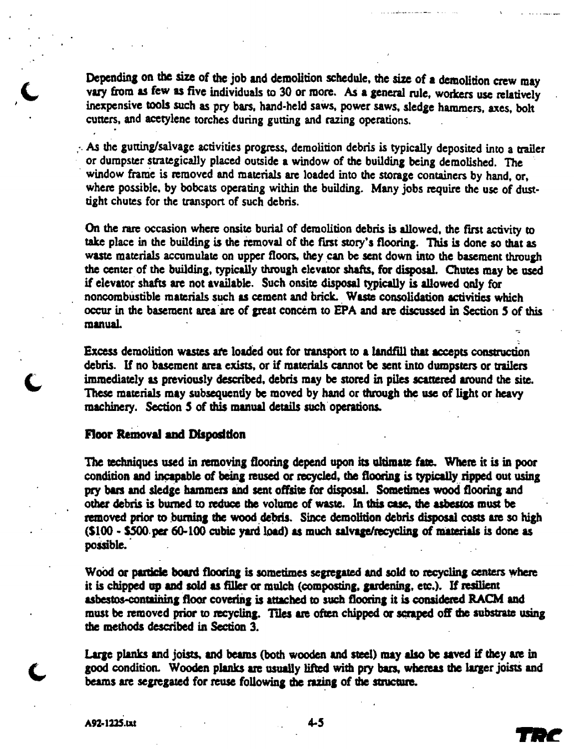Depending on the size of the job and demolition schedule, the size of a demolition crew may vary from as few as five individuals to 30 or more. As a general rule, workers use relatively inexpensive tools such as pry bars. hand-held saws, power saws, sledge hammers, axes, bolt cutters, and acetylene torches during gutting and razing operations.

As the gutting/salvage activities progress, demolition debris is typically deposited into a trailer or dumpster strategically placed outside a window of the building being demolished. The window frame is removed and materials are loaded into the storage containers by hand, or, where possible, by bobcats operating within the building. Many jobs require the use of dusttight chutes for the transport of such debris.

On the rare occasion where onsite burial of demolition debris is allowed, the first activity to take place in the building is the removal of the first story's flooring. This is done so that as waste materials accumulate on upper floors, they can be sent down into the basement through the center of the building, typically through elevator shafts, for disposal. Chutes may be used if elevator shafts are not available. Such onsite disposal typically is allowed only for noncombustible materials such as cement and brick. Waste consolidation activities which occur in the basement area are of great concern to EPA and are discussed in Section 5 of this manual

Excess demolition wastes are loaded out for transport to a landfill that accepts construction debris. If no basement area exists, or if materials cannot be sent into dumpsters or trailers immediately as previously described, debris may be stored in piles scattered around the site. These materials may subsequently be moved by hand or through the use of light or heavy machinery. Section 5 of this manual details such' operations. .

#### Floor ReinovaJ and Dlsposldon

The techniques used in removing flooring depend upon its ultimate fate. Where it is in poor condition and incapable of being reused or recycled, the flooring is typically ripped out using pry bars and sledge hammers and sent offsite for disposal. Sometimes wood flooring and other debris is burned to reduce the volume of waste. In this case, the asbestos must be removed prior to burning the wood debris. Since demolition debris disposal costs are so high  $(5100 - 5500$  per 60-100 cubic yard load) as much salvage/recycling of materials is done as possible.

Wood or particle board flooring is sometimes segregated and sold to recycling centers where it is chipped up and sold as filler or mulch (composting, gardening, etc.). If resilient asbestos-containing floor covering is attached to such flooring it is considered RACM and must be removed prior to recycling. Tiles are often chipped or scraped off the substrate using the methods described in Section 3.

Large planks and joists, and beams (both wooden and steel) may also be saved if they are in good condition. Wooden planks are usually lifted with pry bars, whereas the larger joists and beams are segregated for reuse following the razing of the structure.

45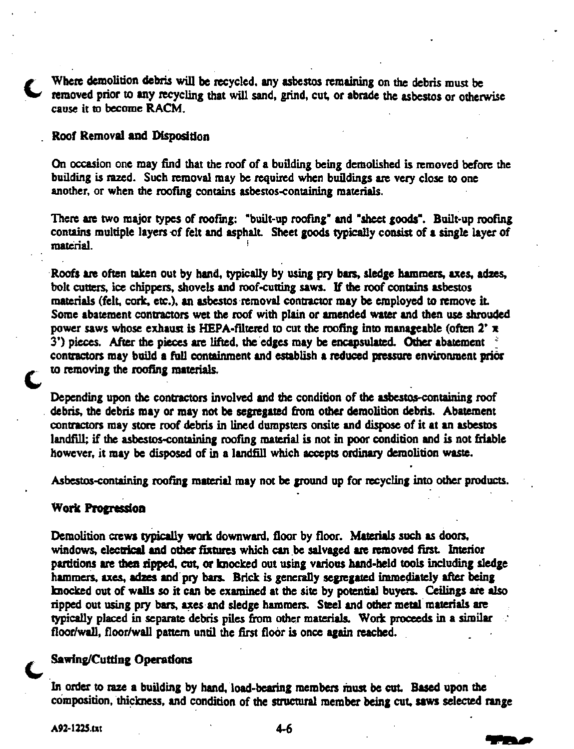Where demolition debris will be recycled, any asbestos remaining on the debris must be removed prior to any recycling that will sand, grind, cut, or abrade the asbestos or otherwise cause it 10 become RACM.

#### Roof Removal and Disposition

On occasion one may find that the roof of a building being demolished is removed before the building is razed. Such removal may be required when buildings are very close to one another, or when the roofing contains asbestos-containing materials.

There are two major types of roofing: "built-up roofing" and "sheet goods". Built-up roofing contains multiple layers of felt and asphalt. Sheet goods typically consist of a single layer of material. '

Roofs are often taken out by hand, typically by using pry bars. sledge hammers, axes, adzes, bolt cutters, ice chippers, shovels and roof-cutting saws. If the roof contains asbestos materials (felt, cork, etc.), an asbestos removal contractor may be employed to remove it. Some abatement contractors wet the roof with plain or amended water and then use shrouded power saws whose exhaust is HEPA-filtered to cut the roofing into manageable (often  $2'$   $\pi$ ) 3') pieces. After the pieces are lifted, the edges may be encapsulated. Other abatement contractors may build a full containment and establish a reduced pressure environment prior to removing the roofing materials.

Depending upon the contractors involved and the condition of the asbestos-containing roof debris, the debris may or may not be segregated from other demolition debris. Abatement contractors may store roof debris in lined dumpsters onsite and dispose of it at an asbestos landfill; if the asbestos-containing roofing material is not in poor condition and is not friable however, it may be disposed of in a landfill which accepts ordinary demolition waste.

Asbestos-containing roofing material may not be ground up for recycling into other products.

#### Work ProenssIOD

Demolition crews typically work downward, floor by floor. Materials such as doors, windows, electrical and other fixtures which can be salvaged are removed first. Interior partitions are then ripped, cut, or knocked out using various hand-held tools including sledge hammers, axes, adzes and pry bars. Brick is generally segregated immediately after being knocked out of walls so it can be examined at the site by potential buyers. Ceilings are also ripped out using pry bars, axes and sledge hammers. Steel and other metal materials are typically placed in separate debris piles from other materials. Work proceeds in a similar floor/wall, floor/wall pattern until the first floor is once again reached.

## **Sawing/Cutting Operations**

In order to raze a building by hand, load-bearing members must be cut. Based upon the composition, thickness, and condition of the structural member being cut, saws selected range

 $4-6$ 

**D·k ,.**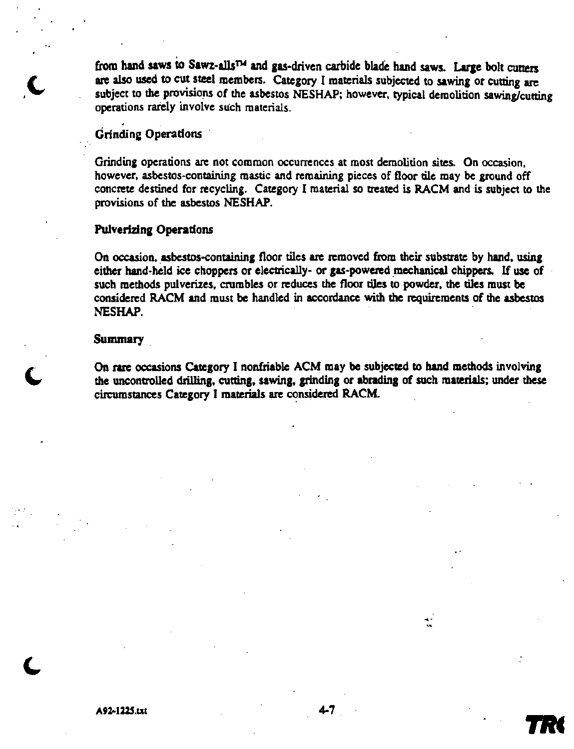from hand saws to Sawz-alls<sup>TM</sup> and gas-driven carbide blade hand saws. Large bolt cutters are also used to cut steel members. Category I materials subjected to sawing or cutting are subject to the provisions of the asbestos NESHAP; however, typical demolition sawing/cutting operations rarely involve such materials.

## Grinding Operations

**Grindin& operations are not common occurrences at most demolition sites. On occasion.** however. asbestos-containing mastic and remaining pieces of floor tile may be ground off concrete destined for recycling. Category I material so treated is RACM and is subject to the provisions of the asbestos NESHAP.

#### Pulverizing Operations

On occasion, asbestos-containing floor tiles are removed from their substrate by hand, using either hand-held ice choppers or electrically- or gas-powered mechanical chippers. If use of such methods pulverizes, crumbles or reduces the floor tiles to powder, the tiles must be considered RACM and must be handled in accordance with the requirements of the asbestos NESHAP.

#### **Summary**

On rare occasions Category I nonfriable ACM may be subjected to hand methods involving the uncontrolled drilling, cutting, sawing, grinding or abrading of such materials; under these circumstances Category I materials are considered RACM.

."

**TR**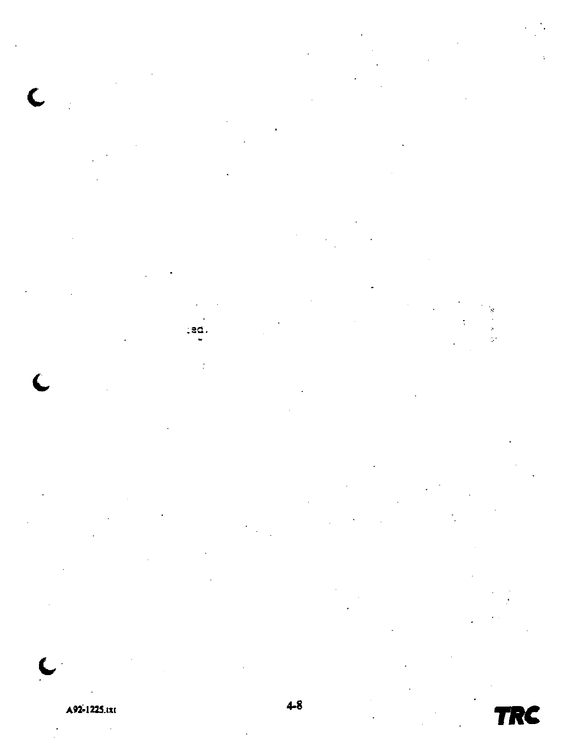$\mathsf{C}$ 

 $\frac{1}{2}$ ed.

A92-1225.txt

 $4 - 8$ 

 $\ddot{\phantom{0}}$ 

 $\tilde{\gamma}$ ą.

 $\overline{a}$ 

RC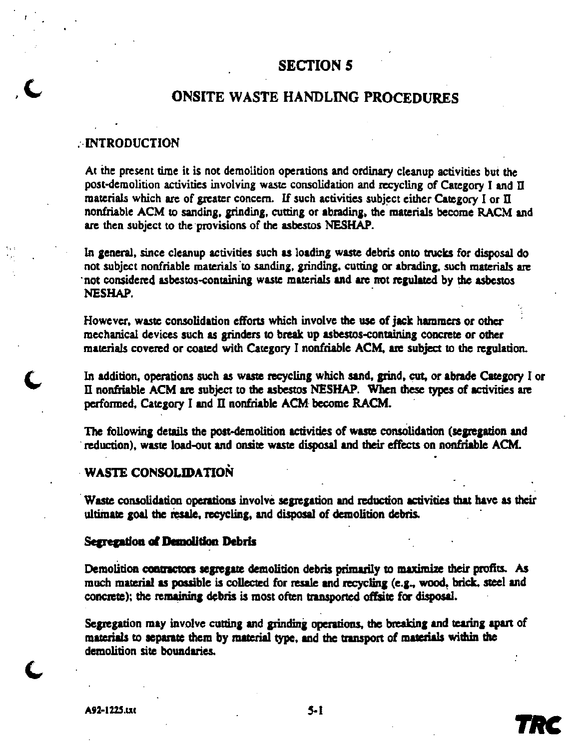## **SECTION 5**

## **ONSITE WASTE HANDLING PROCEDURES**

#### **NITRODUCTION**

At the present time it is not demolition operations and ordinary cleanup activities but the post-demolition activities involving waste consolidation and recycling of Category I and II materials which are of greater concern. If such activities subject either Category I or II nonfriable ACM to sanding, grinding, cutting or abrading, the materials become RACM and are then subject to the provisions of the asbestos NESHAP.

In general, since cleanup activities such as loading waste debris onto trucks for disposal do not subject nonfriable materials to sanding, grinding, cutting or abrading, such materials are not considered asbestos-containing waste materials and are not regulated by the asbestos NESHAP.

However, waste consolidation efforts which involve the use of jack hammers or other mechanical devices such as grinders to break up asbestos-containing concrete or other materials covered or coated with Category I nonfriable ACM, are subject to the regulation.

In addition, operations such as waste recycling which sand, grind, cut, or abrade Category I or II nonfriable ACM are subject to the asbestos NESHAP. When these types of activities are performed, Category I and II nonfriable ACM become RACM.

The following details the post-demolition activities of waste consolidation (segregation and reduction), waste load-out and onsite waste disposal and their effects on nonfriable ACM,

#### **WASTE CONSOLIDATION**

Waste consolidation operations involve segregation and reduction activities that have as their ultimate goal the resale, recycling, and disposal of demolition debris.

#### Segregation of Demolition Debris

Demolition contractors segregate demolition debris primarily to maximize their profits. As much material as possible is collected for resale and recycling (e.g., wood, brick, steel and concrete); the remaining debris is most often transported offsite for disposal.

Segregation may involve cutting and grinding operations, the breaking and tearing apart of materials to separate them by material type, and the transport of materials within the demolition site boundaries.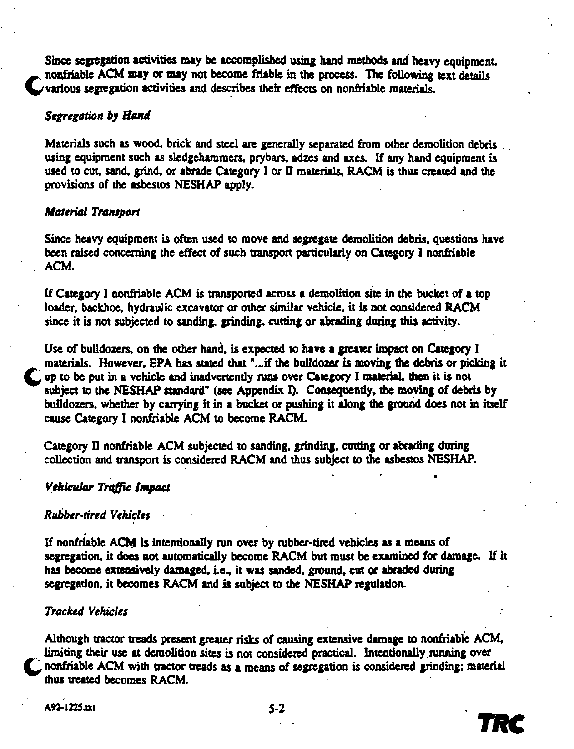Since segregation activities may be accomplished using hand methods and heavy equipment. nonfriable ACM may or may not become friable in the process. The following text details various segregation activities and describes their effects on nonfriable materials.

#### *S.gr.gation by BtwI*

Materials such as wood. brick and steel are generally separated from other demolition debris using equipment such as sledgehammers, prybars, adzes and axes. If any hand equipment is used to cut, sand, grind, or abrade Category I or II materials, RACM is thus created and the provisions of the asbestos NESHAP apply.

#### **Material Transport**

Since heavy equipment is often used to move and segregate demolition debris, questions have been raised concerning the effect of such transport particularly on Category I nonfriable ACM. ACM. The contract of the contract of the contract of the contract of the contract of the contract of the contract of the contract of the contract of the contract of the contract of the contract of the contract of the contr

If Category I nonfriable ACM is transported across a demolition site in the bucket of a top loader. backhoe. hydraulic excavator or other similar vehicle. it is not considered RACM since it is not subjected to sanding, grinding, cutting or abrading during this activity.

Use of bulldozers, on the other hand, is expected to have a greater impact on Category I materials. However, EPA has stated that "...if the bulldozer is moving the debris or picking it up to be put in a vehicle and inadvertently runs over Category I material, then it is not subject to the NESHAP standard<sup>®</sup> (see Appendix I). Consequently, the moving of debris by bulldozers, whether by carrying it in a bucket or pushing it along the ground does not in itself cause Category I nonfriable ACM to become RACM.

Category II nonfriable ACM subjected to sanding, grinding, cutting or abrading during collection and transpon is considered RACM and thus subject to the asbestos NESHAP.

#### Vehicular Traffic Impact

#### Rubber-tired Vehicles

If nonfriable ACM is intentionally run over by rubber-tired vehicles as a means of segregation, it does not automatically become RACM but must be examined for damage. If it has become extensively damaged, i.e., it was sanded, ground, cut or abraded during segregation, it becomes RACM and is subject to the NESHAP regulation.

#### **Tracked Vehicles**

Although tractor treads present greater risks of causing extensive damage to nonfriable ACM, limiting their use at demolition sites is not considered practical. Intentionally running over nonfriable ACM with tractor treads as a means of segregation is considered grinding; material thus treated becomes RACM.

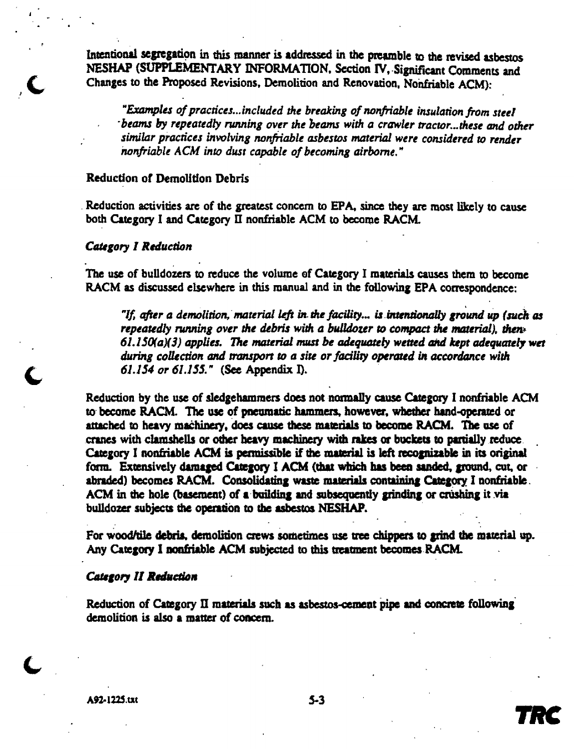Intentional segregation in this manner is addressed in the preamble to the revised asbestos NESHAP (SUPPLEMENTARY INFORMATION, Section IV, Significant Comments and Changes to the Proposed Revisions, Demolition and Renovation, Nonfriable ACM):

"Examples of practices...included the breaking of nonfriable insulation from steel beams by repeatedly running over the beams with a crawler tractor...these and other similar practices involving nonfriable asbestos material were considered to render nonfriable ACM into dust capable of becoming airborne."

#### **Reduction of Demolition Debris**

Reduction activities are of the greatest concern to EPA, since they are most likely to cause both Category I and Category II nonfriable ACM to become RACM.

#### **Category I Reduction**

The use of bulldozers to reduce the volume of Category I materials causes them to become RACM as discussed elsewhere in this manual and in the following EPA correspondence:

"If, after a demolition, material left in the facility... is intentionally ground up (such as repeatedly running over the debris with a bulldozer to compact the material), then-61.150(a)(3) applies. The material must be adequately wetted and kept adequately wet during collection and transport to a site or facility operated in accordance with 61.154 or 61.155." (See Appendix I).

Reduction by the use of sledgehammers does not normally cause Category I nonfriable ACM to become RACM. The use of pneumatic hammers, however, whether hand-operated or attached to heavy machinery, does cause these materials to become RACM. The use of cranes with clamshells or other heavy machinery with rakes or buckets to partially reduce. Category I nonfriable ACM is permissible if the material is left recognizable in its original form. Extensively damaged Category I ACM (that which has been sanded, ground, cut, or abraded) becomes RACM. Consolidating waste materials containing Category I nonfriable. ACM in the hole (basement) of a building and subsequently grinding or crushing it via bulldozer subjects the operation to the asbestos NESHAP.

For wood/tile debris, demolition crews sometimes use tree chippers to grind the material up. Any Category I nonfriable ACM subjected to this treatment becomes RACM.

#### **Category II Reduction**

Reduction of Category II materials such as asbestos-cement pipe and concrete following demolition is also a matter of concern.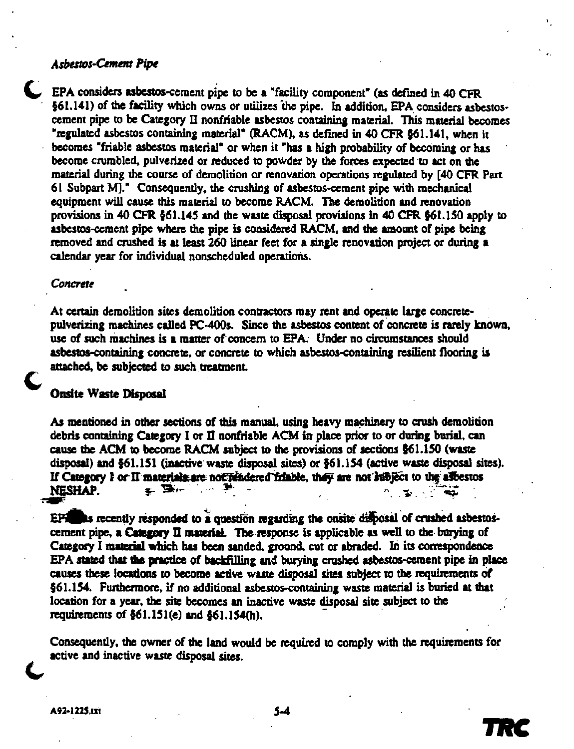#### **Asbestos-Cement Pipe**

EPA considers asbestos-cement pipe to be a "facility component" (as defined in 40 CFR §61.141) of the facility which owns or utilizes the pipe. In addition, EPA considers asbestoscement pipe to be Category II nonfriable asbestos containing material. This material becomes "regulated asbestos containing material" (RACM), as defined in 40 CFR §61.141, when it becomes "friable asbestos material" or when it "has a high probability of becoming or has become crumbled, pulverized or reduced to powder by the forces expected to act on the material during the course of demolition or renovation operations regulated by 140 CFR Part 61 Subpart M1." Consequently, the crushing of asbestos-cernent pipe with mechanical equipment will cause this material to become RACM. The demolition and renovation provisions in 40 CFR §61.145 and the waste disposal provisions in 40 CFR §61.150 apply to asbestos-cement pipe where the pipe is considered RACM, and the amount of pipe being removed and crushed is at least 260 linear feet for a single renovation project or during a calendar year for individual nonscheduled operations.

#### Concrete

At certain demolition sites demolition contractors may rent and operate large concretepulverizing machines called PC-400s. Since the asbestos content of concrete is rarely known, use of such machines is a matter of concern to EPA. Under no circumstances should asbestos-containing concrete, or concrete to which asbestos-containing resilient flooring is attached, be subjected to such treatment.

#### **Onsite Waste Disposal**

As mentioned in other sections of this manual, using heavy machinery to crush demolition debris containing Category I or II nonfriable ACM in place prior to or during burial, can cause the ACM to become RACM subject to the provisions of sections §61.150 (waste disposal) and §61.151 (inactive waste disposal sites) or §61.154 (active waste disposal sites). If Category I or II materials are not rendered friable, they are not subject to the affectos ⊊ 39000 → 1900 → 1900 → 1900 → 1900 → 1900 → 1900 → 1900 → 1900 → 1900 → 1900 → 1900 → 1900 → 1900 → NESHAP.

EPT is recently responded to a question regarding the onsite disposal of crushed asbestoscement pipe, a Category II material. The response is applicable as well to the burying of Category I material which has been sanded, ground, cut or abraded. In its correspondence EPA stated that the practice of backfilling and burying crushed asbestos-cement pipe in place causes these locations to become active waste disposal sites subject to the requirements of §61.154. Furthermore, if no additional asbestos-containing waste material is buried at that location for a year, the site becomes an inactive waste disposal site subject to the requirements of  $$61.151(e)$  and  $$61.154(h).$ 

Consequently, the owner of the land would be required to comply with the requirements for active and inactive waste disposal sites.

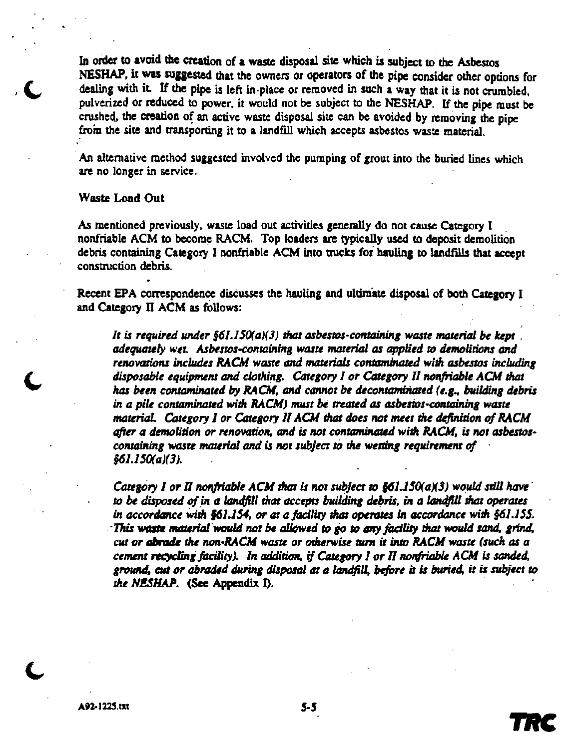In order to avoid the creation of a waste disposal site which is subject to the Asbestos NESHAP, it was suggested that the owners or operators of the pipe consider other options for dealing with it. If the pipe is left in place or removed in such a way that it is not crumbled. pulverized or reduced to power, it would not be subject to the NESHAP. If the pipe must be crushed, the creation of an active waste disposal site can be avoided by removing the pipe from the site and transporting it to a landfill which accepts asbestos waste material.

An alternative method suggested involved the pumping of grout into the buried lines which are no longer in service.

#### **Waste Load Out**

As mentioned previously, waste load out activities generally do not cause Category I nonfriable ACM to become RACM. Top loaders are typically used to deposit demolition debris containing Category I nonfriable ACM into trucks for hauling to landfills that accept construction debris.

Recent EPA correspondence discusses the hauling and ultimate disposal of both Category I and Category II ACM as follows:

It is required under  $\S61.150(a)(3)$  that asbestos-containing waste material be kept. adequately wet. Asbestos-containing waste material as applied to demolitions and renovations includes RACM waste and materials contaminated with asbestos including disposable equipment and clothing. Category I or Category II nonfriable ACM that has been contaminated by RACM, and cannot be decontaminated (e.g., building debris in a pile contaminated with RACM) must be treated as asbestos-containing waste material. Category I or Category II ACM that does not meet the definition of RACM after a demolition or renovation, and is not contaminated with RACM, is not asbestoscontaining waste material and is not subject to the wetting requirement of §61.150(a)(3).

Category I or II nonfriable ACM that is not subject to  $\S61.150(a)(3)$  would still have to be disposed of in a landfill that accepts building debris, in a landfill that operates in accordance with §61.154, or at a facility that operates in accordance with §61.155. This waste material would not be allowed to go to any facility that would sand, grind, cut or abrade the non-RACM waste or otherwise turn it into RACM waste (such as a cement recycling facility). In addition, if Category I or II nonfriable ACM is sanded, ground, cut or abraded during disposal at a landfill, before it is buried, it is subject to the NESHAP. (See Appendix I).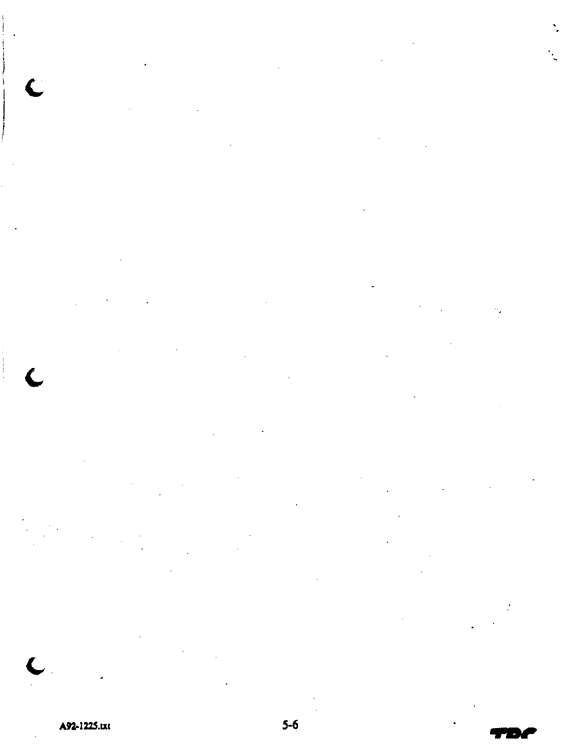$\sim 10$ 

 $\psi_{\mathbf{z}}$ 

A92-1225.txt

 $\overline{\mathbf{C}}$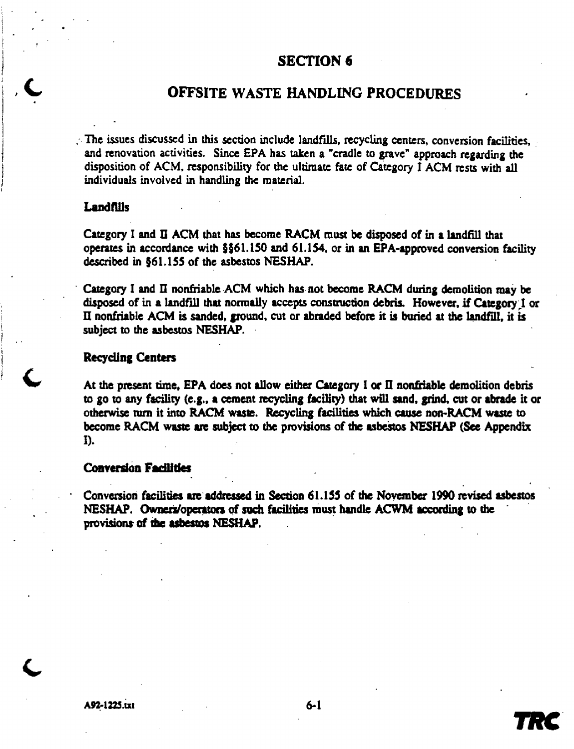## SECTION 6

## OFFSITE WASTE HANDLING PROCEDURES

 $\therefore$  The issues discussed in this section include landfills, recycling centers, conversion facilities, and renovation activities. Since EPA has taken a "cradle to grave" approach regarding the disposition of ACM. responsibility for the ultimate fate of Category I ACM rests with all individuals involved in handling the material.

#### Landfills

•

Category I and  $II$  ACM that has become RACM must be disposed of in a landfill that operates in accordance with  $\S$ §61.150 and 61.154, or in an EPA-approved conversion facility described in §61.155 of the asbestos NESHAP.

Category I and II nonfriable ACM which has not become RACM during demolition may be disposed of in a landfill that normally accepts construction debris. However, if Category I or II nonfriable ACM is sanded, ground, cut or abraded before it is buried at the landfill, it is subject to the asbestos NESHAP.

#### **Recycling Centers**

At the present time, EPA does not allow either Category I or  $\Pi$  nonfriable demolition debris to go to any facility (e.g., a cement recycling facility) that will sand, grind, cut or abrade it or otherwise tum it into RACM waste. Recycling facilities which cause non-RACM waste to become RACM waste are subject to the provisions of the asbestos NESHAP (See Appendix I).

#### **Conversion Facilities**

Conversion facilities are addressed in Section 61.155 of the November 1990 revised asbestos NESHAP. Owners/operators of such facilities must handle ACWM according to the provisions of the asbestos NESHAP.

 $\mathcal{A}$ 92-1225.txt 6-1  $\blacksquare$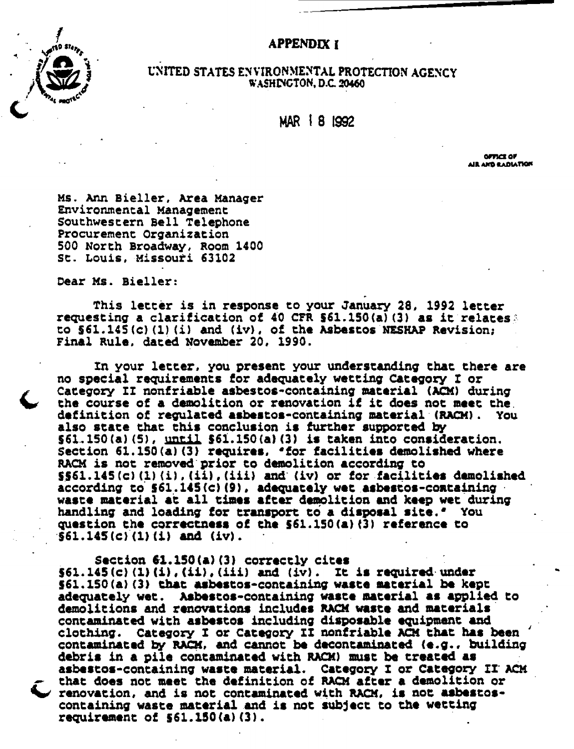#### APPENDIX I



#### UNITED STATES ENVIRONMENTAL PROTECTION AGENCY WASHINGTON, D.C. 20460

MAA I 8 <sup>1992</sup>

orner of AIR AND RADIATION

..

Ms. Ann Bieller, Area Manager Environmental Management Southwestern Bell Telephone Procurement Organization <sup>500</sup> North Broadway, Room <sup>1400</sup> St. Louis, Missouri 63102

Dear Ms. Bieller:<br>This letter is in response to your January 28, 1992 letter requesting a clarification of 40 CFR  $$61.150(a)$  (3) as it relates: to  $$61.145(c)$  (1) (i) and (iv), of the Asbestos NESHAP Revision; Final Rule. dated November 20, 1990.

In your letter, you present your understanding that there are no special requirements for adequately wetting Category I or<br>Category II nonfriable asbestos-containing material (ACM) during the course of a demolition or renovation if it does not meet the definition of regulated asbestos-containing material (RACM). You also state that this conclusion is further supported by  $$61.150(a)(5),$  until  $$61.150(a)(3)$  is taken into consideration. Section 61.150(a)(3) requires, 'for facilities demolished where RACK is not removed· prior to demolition according to  $$561.145(c) (1) (i), (ii), (iii)$  and (iv) or for facilities demolished according to  $$61.145(c) (9)$ , adequately wet asbestos-containing waste material at all times after demolition and keep wet during handling and loading for transport to a disposal site." You question the correctness of the  $561.150(a)$  (3) reference to  $$61.145(c)(1)(1)$  and  $(iv)$ .

Section 61.150(a)(3) correctly cites  $561.145(c)$  (1)(i), (ii), (iii) and (iv). It is required under  $161.150(a)$  (3) that asbestos-containing waste material be kept adequately wet. Asbestos-containing waste material as applied to demolitions and renovations includes RACM waste and materials contaminated with asbestos including disposable equipment and clothing. Category I or Category II nonfriable ACM that has been contaminated by RACM, and cannot be decontaminated (e.g., building debris in a pile contaminated with RACM) must be treated as asbestos-containing waste material. Category I or Category II ACM that does not meet the definition of RACM after a demolition or renovation, and is not contaminated with RACM, is not asbestoscontaining waste material and is not subject to the wetting requirement of 561.150(a) (3).